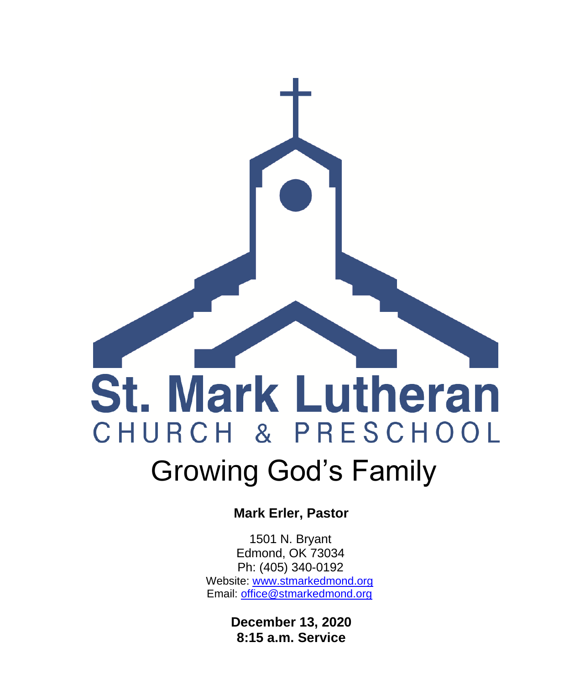

 **Mark Erler, Pastor**

 1501 N. Bryant Edmond, OK 73034 Ph: (405) 340-0192 Website: [www.stmarkedmond.org](http://www.stmarkedmond.org/) Email: [office@stmarkedmond.org](mailto:office@stmarkedmond.org)

> **December 13, 2020 8:15 a.m. Service**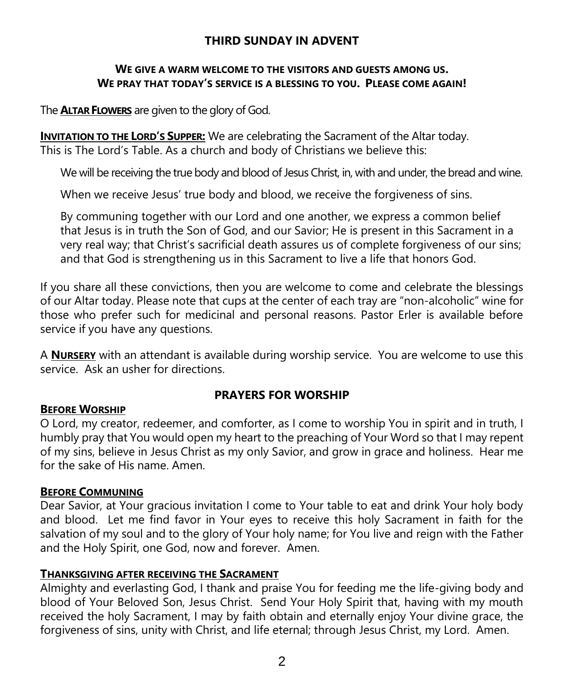## **THIRD SUNDAY IN ADVENT**

#### **WE GIVE A WARM WELCOME TO THE VISITORS AND GUESTS AMONG US. WE PRAY THAT TODAY'S SERVICE IS A BLESSING TO YOU. PLEASE COME AGAIN!**

The **ALTAR FLOWERS** are given to the glory of God.

**INVITATION TO THE LORD'S SUPPER:** We are celebrating the Sacrament of the Altar today. This is The Lord's Table. As a church and body of Christians we believe this:

We will be receiving the true body and blood of Jesus Christ, in, with and under, the bread and wine.

When we receive Jesus' true body and blood, we receive the forgiveness of sins.

By communing together with our Lord and one another, we express a common belief that Jesus is in truth the Son of God, and our Savior; He is present in this Sacrament in a very real way; that Christ's sacrificial death assures us of complete forgiveness of our sins; and that God is strengthening us in this Sacrament to live a life that honors God.

If you share all these convictions, then you are welcome to come and celebrate the blessings of our Altar today. Please note that cups at the center of each tray are "non-alcoholic" wine for those who prefer such for medicinal and personal reasons. Pastor Erler is available before service if you have any questions.

A **NURSERY** with an attendant is available during worship service. You are welcome to use this service. Ask an usher for directions.

## **PRAYERS FOR WORSHIP**

### **BEFORE WORSHIP**

O Lord, my creator, redeemer, and comforter, as I come to worship You in spirit and in truth, I humbly pray that You would open my heart to the preaching of Your Word so that I may repent of my sins, believe in Jesus Christ as my only Savior, and grow in grace and holiness. Hear me for the sake of His name. Amen.

#### **BEFORE COMMUNING**

Dear Savior, at Your gracious invitation I come to Your table to eat and drink Your holy body and blood. Let me find favor in Your eyes to receive this holy Sacrament in faith for the salvation of my soul and to the glory of Your holy name; for You live and reign with the Father and the Holy Spirit, one God, now and forever. Amen.

#### **THANKSGIVING AFTER RECEIVING THE SACRAMENT**

Almighty and everlasting God, I thank and praise You for feeding me the life-giving body and blood of Your Beloved Son, Jesus Christ. Send Your Holy Spirit that, having with my mouth received the holy Sacrament, I may by faith obtain and eternally enjoy Your divine grace, the forgiveness of sins, unity with Christ, and life eternal; through Jesus Christ, my Lord. Amen.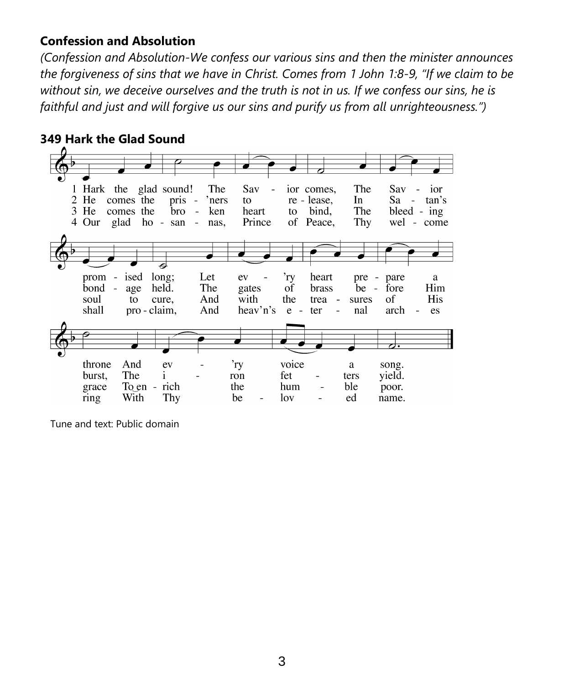## **Confession and Absolution**

*(Confession and Absolution-We confess our various sins and then the minister announces the forgiveness of sins that we have in Christ. Comes from 1 John 1:8-9, "If we claim to be without sin, we deceive ourselves and the truth is not in us. If we confess our sins, he is faithful and just and will forgive us our sins and purify us from all unrighteousness.")*

## **349 Hark the Glad Sound**



Tune and text: Public domain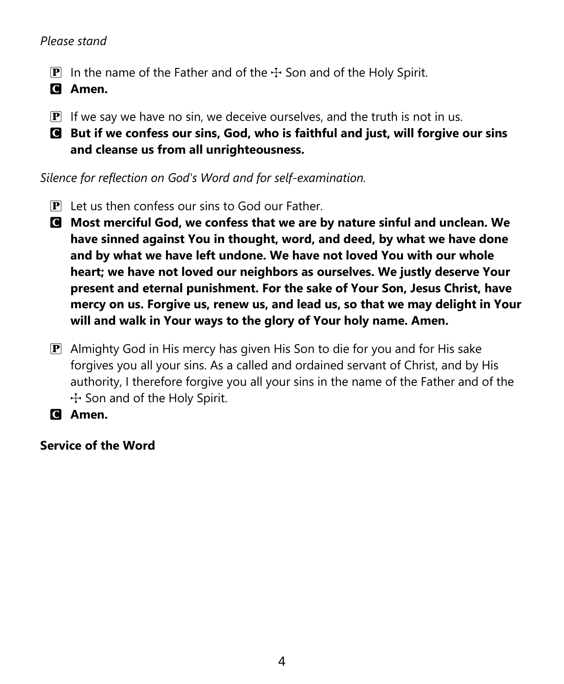## *Please stand*

- **P** In the name of the Father and of the  $\pm$  Son and of the Holy Spirit.
- C **Amen.**
- $\mathbf{P}$  If we say we have no sin, we deceive ourselves, and the truth is not in us.
- C **But if we confess our sins, God, who is faithful and just, will forgive our sins and cleanse us from all unrighteousness.**

*Silence for reflection on God's Word and for self-examination.*

- P Let us then confess our sins to God our Father.
- C **Most merciful God, we confess that we are by nature sinful and unclean. We have sinned against You in thought, word, and deed, by what we have done and by what we have left undone. We have not loved You with our whole heart; we have not loved our neighbors as ourselves. We justly deserve Your present and eternal punishment. For the sake of Your Son, Jesus Christ, have mercy on us. Forgive us, renew us, and lead us, so that we may delight in Your will and walk in Your ways to the glory of Your holy name. Amen.**
- P Almighty God in His mercy has given His Son to die for you and for His sake forgives you all your sins. As a called and ordained servant of Christ, and by His authority, I therefore forgive you all your sins in the name of the Father and of the  $+$  Son and of the Holy Spirit.
- C **Amen.**

# **Service of the Word**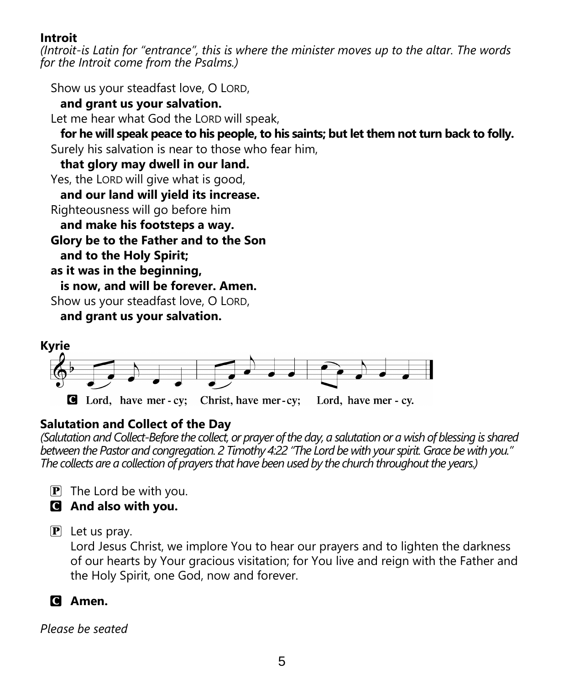## **Introit**

*(Introit-is Latin for "entrance", this is where the minister moves up to the altar. The words for the Introit come from the Psalms.)*

Show us your steadfast love, O LORD,

## **and grant us your salvation.**

Let me hear what God the LORD will speak,

**for he will speak peace to his people, to his saints; but let them not turn back to folly.** Surely his salvation is near to those who fear him,

**that glory may dwell in our land.** Yes, the LORD will give what is good,

**and our land will yield its increase.**

Righteousness will go before him

**and make his footsteps a way.**

**Glory be to the Father and to the Son**

**and to the Holy Spirit;**

**as it was in the beginning,**

**is now, and will be forever. Amen.**

Show us your steadfast love, O LORD,

**and grant us your salvation.**



# **Salutation and Collect of the Day**

*(Salutation and Collect-Before the collect, or prayer of the day, a salutation or a wish of blessing is shared between the Pastor and congregation. 2 Timothy 4:22 "The Lord be with your spirit. Grace be with you." The collects are a collection of prayers that have been used by the church throughout the years.)*

 $\mathbf{P}$  The Lord be with you.

C **And also with you.**

 $\mathbf{P}$  Let us pray.

Lord Jesus Christ, we implore You to hear our prayers and to lighten the darkness of our hearts by Your gracious visitation; for You live and reign with the Father and the Holy Spirit, one God, now and forever.

# C **Amen.**

*Please be seated*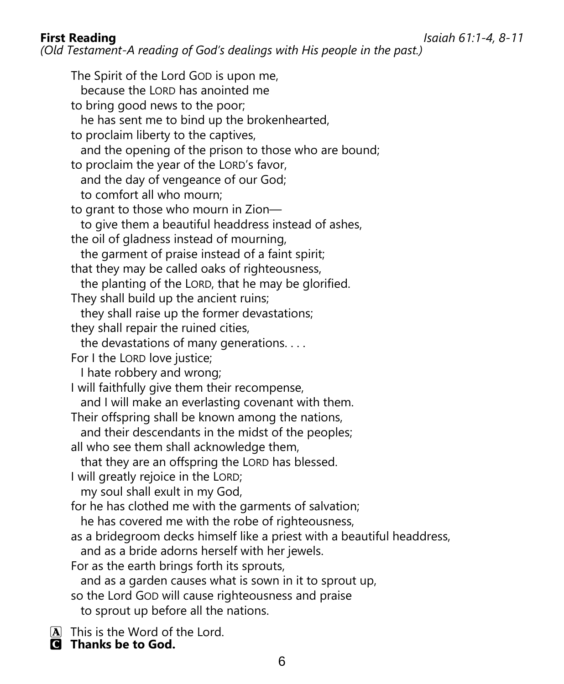## **First Reading** *Isaiah 61:1-4, 8-11*

*(Old Testament-A reading of God's dealings with His people in the past.)*

The Spirit of the Lord GOD is upon me, because the LORD has anointed me to bring good news to the poor; he has sent me to bind up the brokenhearted, to proclaim liberty to the captives, and the opening of the prison to those who are bound; to proclaim the year of the LORD's favor, and the day of vengeance of our God; to comfort all who mourn; to grant to those who mourn in Zion to give them a beautiful headdress instead of ashes, the oil of gladness instead of mourning, the garment of praise instead of a faint spirit; that they may be called oaks of righteousness, the planting of the LORD, that he may be glorified. They shall build up the ancient ruins; they shall raise up the former devastations; they shall repair the ruined cities, the devastations of many generations. . . . For I the LORD love justice; I hate robbery and wrong; I will faithfully give them their recompense, and I will make an everlasting covenant with them. Their offspring shall be known among the nations, and their descendants in the midst of the peoples; all who see them shall acknowledge them, that they are an offspring the LORD has blessed. I will greatly rejoice in the LORD; my soul shall exult in my God, for he has clothed me with the garments of salvation; he has covered me with the robe of righteousness, as a bridegroom decks himself like a priest with a beautiful headdress, and as a bride adorns herself with her jewels. For as the earth brings forth its sprouts, and as a garden causes what is sown in it to sprout up, so the Lord GOD will cause righteousness and praise to sprout up before all the nations.

- $\overline{A}$  This is the Word of the Lord.
- C **Thanks be to God.**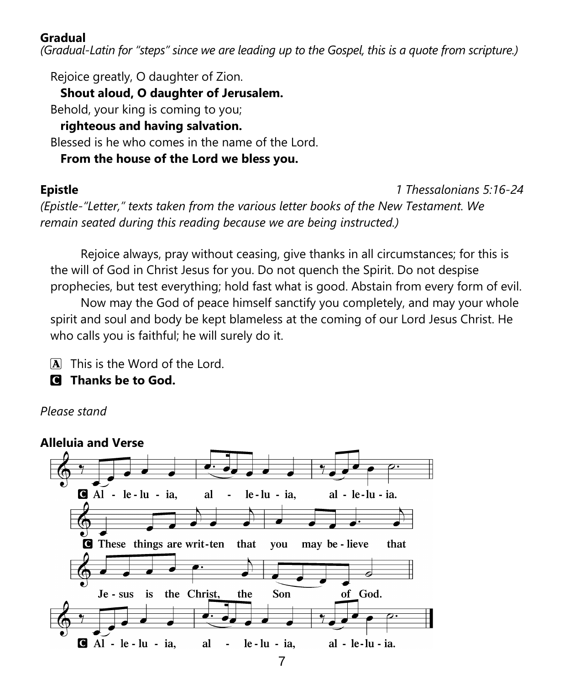## **Gradual**

*(Gradual-Latin for "steps" since we are leading up to the Gospel, this is a quote from scripture.)*

Rejoice greatly, O daughter of Zion.

## **Shout aloud, O daughter of Jerusalem.**

Behold, your king is coming to you;

## **righteous and having salvation.**

Blessed is he who comes in the name of the Lord.

## **From the house of the Lord we bless you.**

**Epistle** *1 Thessalonians 5:16-24*

*(Epistle-"Letter," texts taken from the various letter books of the New Testament. We remain seated during this reading because we are being instructed.)*

Rejoice always, pray without ceasing, give thanks in all circumstances; for this is the will of God in Christ Jesus for you. Do not quench the Spirit. Do not despise prophecies, but test everything; hold fast what is good. Abstain from every form of evil.

Now may the God of peace himself sanctify you completely, and may your whole spirit and soul and body be kept blameless at the coming of our Lord Jesus Christ. He who calls you is faithful; he will surely do it.

A This is the Word of the Lord.

C **Thanks be to God.**

# *Please stand*

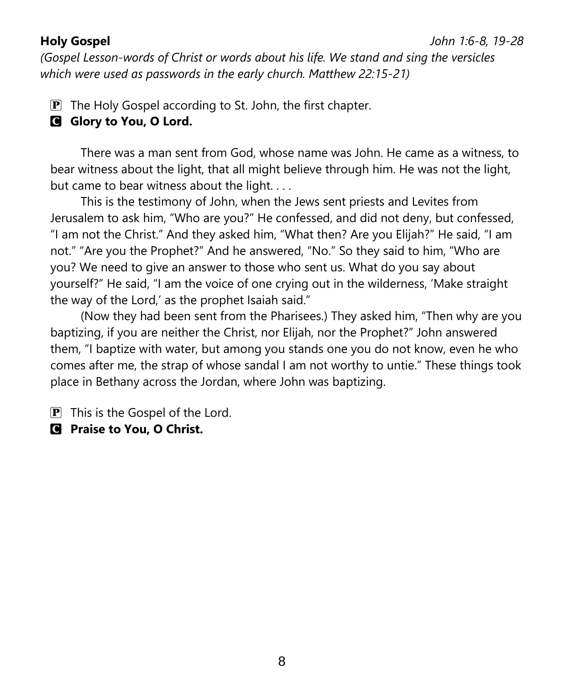*(Gospel Lesson-words of Christ or words about his life. We stand and sing the versicles which were used as passwords in the early church. Matthew 22:15-21)*

 $\mathbf{P}$  The Holy Gospel according to St. John, the first chapter.

# C **Glory to You, O Lord.**

There was a man sent from God, whose name was John. He came as a witness, to bear witness about the light, that all might believe through him. He was not the light, but came to bear witness about the light. . . .

This is the testimony of John, when the Jews sent priests and Levites from Jerusalem to ask him, "Who are you?" He confessed, and did not deny, but confessed, "I am not the Christ." And they asked him, "What then? Are you Elijah?" He said, "I am not." "Are you the Prophet?" And he answered, "No." So they said to him, "Who are you? We need to give an answer to those who sent us. What do you say about yourself?" He said, "I am the voice of one crying out in the wilderness, 'Make straight the way of the Lord,' as the prophet Isaiah said."

(Now they had been sent from the Pharisees.) They asked him, "Then why are you baptizing, if you are neither the Christ, nor Elijah, nor the Prophet?" John answered them, "I baptize with water, but among you stands one you do not know, even he who comes after me, the strap of whose sandal I am not worthy to untie." These things took place in Bethany across the Jordan, where John was baptizing.

- $\boxed{\mathbf{P}}$  This is the Gospel of the Lord.
- C **Praise to You, O Christ.**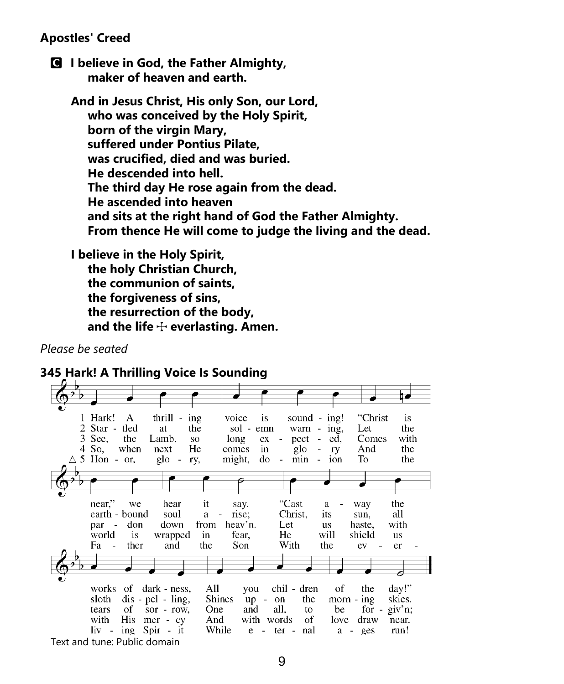### **Apostles' Creed**

C **I believe in God, the Father Almighty, maker of heaven and earth.**

**And in Jesus Christ, His only Son, our Lord, who was conceived by the Holy Spirit, born of the virgin Mary, suffered under Pontius Pilate, was crucified, died and was buried. He descended into hell. The third day He rose again from the dead. He ascended into heaven and sits at the right hand of God the Father Almighty. From thence He will come to judge the living and the dead.**

**I believe in the Holy Spirit, the holy Christian Church, the communion of saints, the forgiveness of sins, the resurrection of the body, and the life** T **everlasting. Amen.**

*Please be seated*

## **345 Hark! A Thrilling Voice Is Sounding**

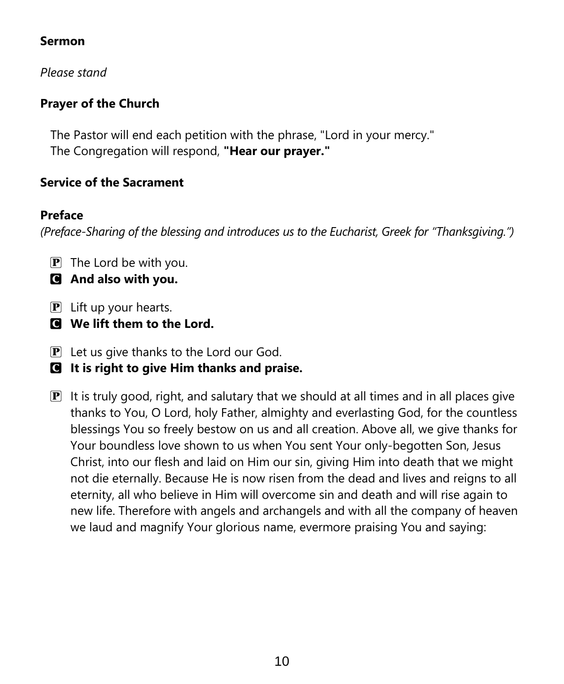## **Sermon**

*Please stand*

## **Prayer of the Church**

The Pastor will end each petition with the phrase, "Lord in your mercy." The Congregation will respond, **"Hear our prayer."**

## **Service of the Sacrament**

## **Preface**

*(Preface-Sharing of the blessing and introduces us to the Eucharist, Greek for "Thanksgiving.")*

- $\mathbf{P}$  The Lord be with you.
- C **And also with you.**
- $\mathbf{P}$  Lift up your hearts.
- C **We lift them to the Lord.**
- $\mathbf{P}$  Let us give thanks to the Lord our God.
- C **It is right to give Him thanks and praise.**
- $\mathbf{P}$  It is truly good, right, and salutary that we should at all times and in all places give thanks to You, O Lord, holy Father, almighty and everlasting God, for the countless blessings You so freely bestow on us and all creation. Above all, we give thanks for Your boundless love shown to us when You sent Your only-begotten Son, Jesus Christ, into our flesh and laid on Him our sin, giving Him into death that we might not die eternally. Because He is now risen from the dead and lives and reigns to all eternity, all who believe in Him will overcome sin and death and will rise again to new life. Therefore with angels and archangels and with all the company of heaven we laud and magnify Your glorious name, evermore praising You and saying: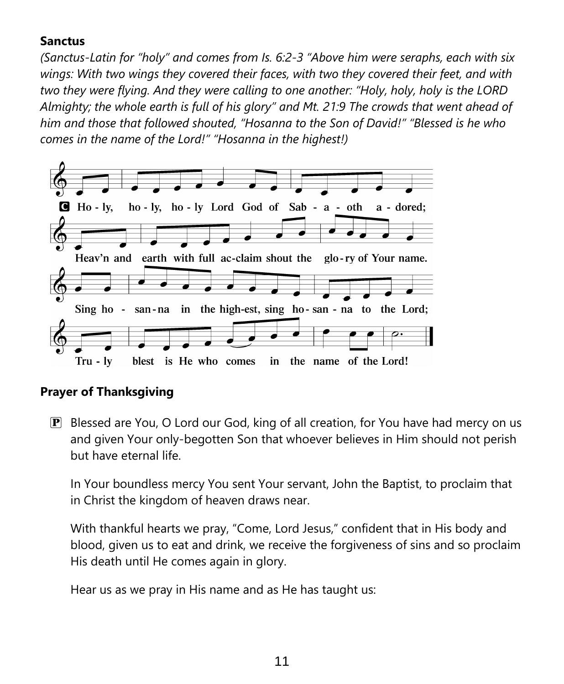## **Sanctus**

*(Sanctus-Latin for "holy" and comes from Is. 6:2-3 "Above him were seraphs, each with six wings: With two wings they covered their faces, with two they covered their feet, and with two they were flying. And they were calling to one another: "Holy, holy, holy is the LORD Almighty; the whole earth is full of his glory" and Mt. 21:9 The crowds that went ahead of him and those that followed shouted, "Hosanna to the Son of David!" "Blessed is he who comes in the name of the Lord!" "Hosanna in the highest!)*



## **Prayer of Thanksgiving**

 $\mathbf{P}$  Blessed are You, O Lord our God, king of all creation, for You have had mercy on us and given Your only-begotten Son that whoever believes in Him should not perish but have eternal life.

In Your boundless mercy You sent Your servant, John the Baptist, to proclaim that in Christ the kingdom of heaven draws near.

With thankful hearts we pray, "Come, Lord Jesus," confident that in His body and blood, given us to eat and drink, we receive the forgiveness of sins and so proclaim His death until He comes again in glory.

Hear us as we pray in His name and as He has taught us: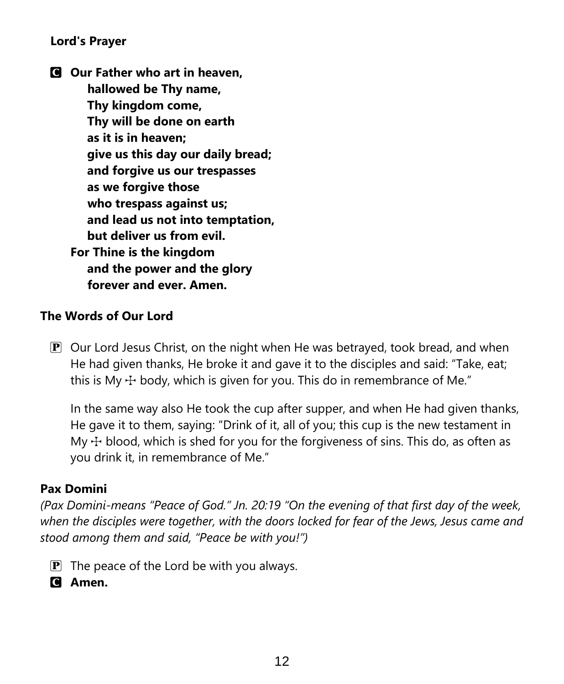## **Lord's Prayer**

C **Our Father who art in heaven, hallowed be Thy name, Thy kingdom come, Thy will be done on earth as it is in heaven; give us this day our daily bread; and forgive us our trespasses as we forgive those who trespass against us; and lead us not into temptation, but deliver us from evil. For Thine is the kingdom and the power and the glory forever and ever. Amen.**

## **The Words of Our Lord**

 $\mathbf{P}$  Our Lord Jesus Christ, on the night when He was betrayed, took bread, and when He had given thanks, He broke it and gave it to the disciples and said: "Take, eat; this is My  $\pm$  body, which is given for you. This do in remembrance of Me."

In the same way also He took the cup after supper, and when He had given thanks, He gave it to them, saying: "Drink of it, all of you; this cup is the new testament in My  $\pm$  blood, which is shed for you for the forgiveness of sins. This do, as often as you drink it, in remembrance of Me."

## **Pax Domini**

*(Pax Domini-means "Peace of God." Jn. 20:19 "On the evening of that first day of the week, when the disciples were together, with the doors locked for fear of the Jews, Jesus came and stood among them and said, "Peace be with you!")*

- $\mathbf{P}$  The peace of the Lord be with you always.
- C **Amen.**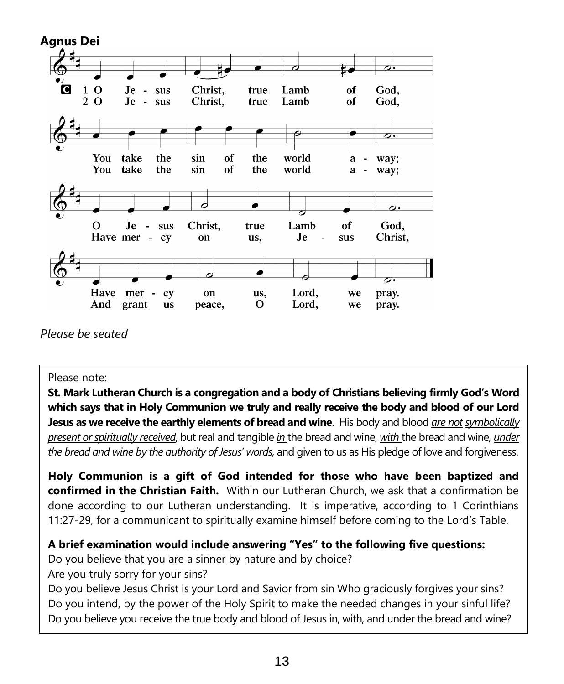

*Please be seated*

#### Please note:

**St. Mark Lutheran Church is a congregation and a body of Christians believing firmly God's Word which says that in Holy Communion we truly and really receive the body and blood of our Lord Jesus as we receive the earthly elements of bread and wine**. His body and blood *are not symbolically present or spiritually received*, but real and tangible *in* the bread and wine, *with* the bread and wine, *under the bread and wine by the authority of Jesus' words,* and given to us as His pledge of love and forgiveness.

**Holy Communion is a gift of God intended for those who have been baptized and confirmed in the Christian Faith.** Within our Lutheran Church, we ask that a confirmation be done according to our Lutheran understanding. It is imperative, according to 1 Corinthians 11:27-29, for a communicant to spiritually examine himself before coming to the Lord's Table.

**A brief examination would include answering "Yes" to the following five questions:**

Do you believe that you are a sinner by nature and by choice? Are you truly sorry for your sins?

Do you believe Jesus Christ is your Lord and Savior from sin Who graciously forgives your sins? Do you intend, by the power of the Holy Spirit to make the needed changes in your sinful life? Do you believe you receive the true body and blood of Jesus in, with, and under the bread and wine?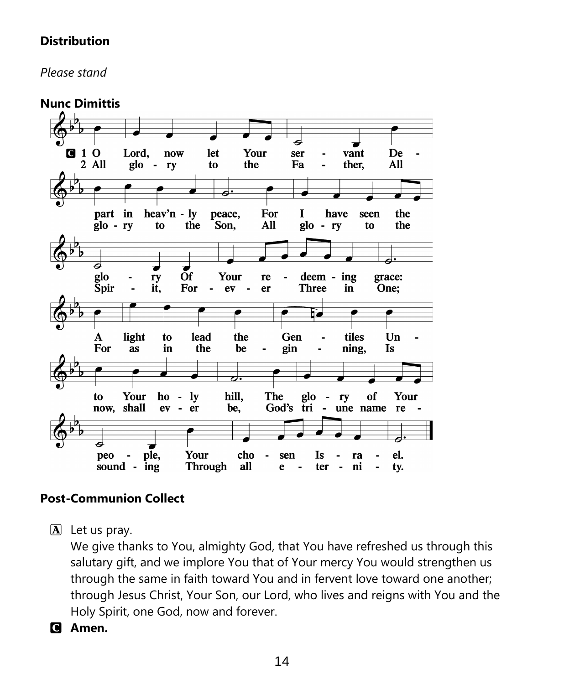# **Distribution**

## *Please stand*

**Nunc Dimittis**  $\pm b$  $\overline{\sigma}$  $\overrightarrow{\phantom{a}}$  $010$ Your Lord, now let ser vant De  $2$  All glo to the Fa ther, All  $\blacksquare$ ry heav'n - ly For part in peace, I have seen the  $g$ lo - ry to the Son, All glo - ry the to ಶ  $\overrightarrow{\phantom{a}}$  $\overrightarrow{\phantom{a}}$ glo<br>Spir Ōf ry<br>it, Your re  $d$  deem - ing grace: For **Three** in One;  $\blacksquare$  ${\bf ev}$  $\blacksquare$  $er$ đ light lead the Gen tiles Un A to For in the be gin ning, Is as glo  $\overline{\phantom{a}}$ Your  $ho - ly$ hill, The of Your to ry God's now, shall  $\blacksquare$ ev er be, tri  $\blacksquare$ une name re र्ग्र peo  $\blacksquare$ ple, Your cho Is el.  $\blacksquare$ sen ra sound -  $ing$ **Through** all ter ni e  $\overline{\phantom{a}}$ ty.

# **Post-Communion Collect**

 $\mathbf{A}$  Let us pray.

We give thanks to You, almighty God, that You have refreshed us through this salutary gift, and we implore You that of Your mercy You would strengthen us through the same in faith toward You and in fervent love toward one another; through Jesus Christ, Your Son, our Lord, who lives and reigns with You and the Holy Spirit, one God, now and forever.

C **Amen.**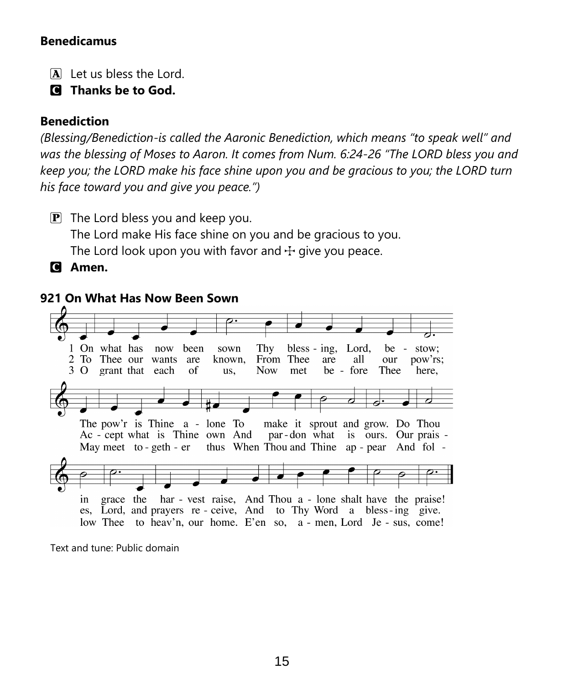## **Benedicamus**

A Let us bless the Lord.

C **Thanks be to God.**

## **Benediction**

*(Blessing/Benediction-is called the Aaronic Benediction, which means "to speak well" and was the blessing of Moses to Aaron. It comes from Num. 6:24-26 "The LORD bless you and keep you; the LORD make his face shine upon you and be gracious to you; the LORD turn his face toward you and give you peace.")*

 $\mathbf{P}$  The Lord bless you and keep you. The Lord make His face shine on you and be gracious to you. The Lord look upon you with favor and  $\pm$  give you peace.

C **Amen.**

## **921 On What Has Now Been Sown**



Text and tune: Public domain